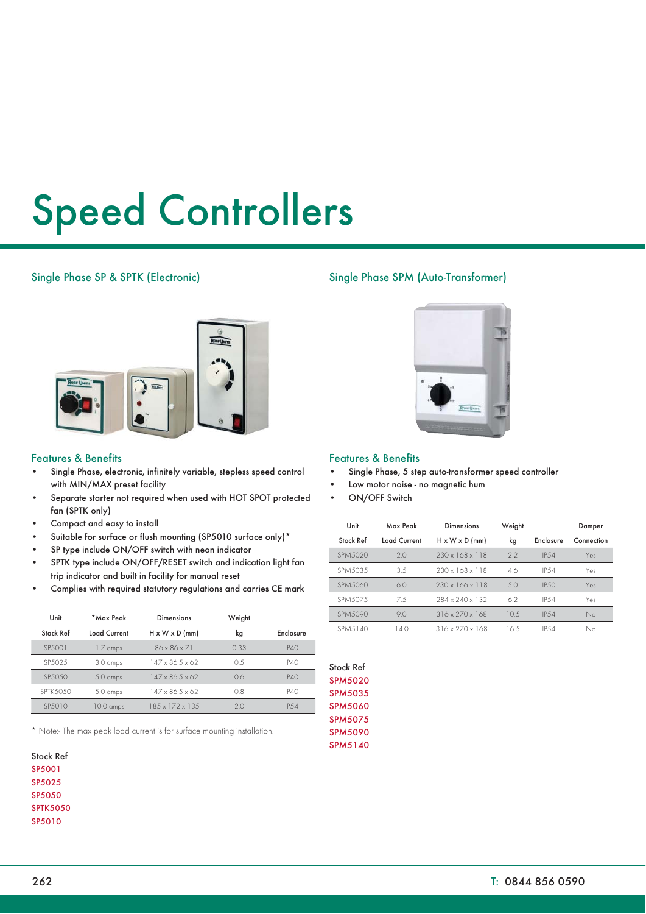# Speed Controllers

## Single Phase SP & SPTK (Electronic)



## Features & Benefits

- Single Phase, electronic, infinitely variable, stepless speed control with MIN/MAX preset facility
- Separate starter not required when used with HOT SPOT protected fan (SPTK only)
- Compact and easy to install
- Suitable for surface or flush mounting (SP5010 surface only)\*
- SP type include ON/OFF switch with neon indicator
- SPTK type include ON/OFF/RESET switch and indication light fan trip indicator and built in facility for manual reset
- Complies with required statutory regulations and carries CE mark

| Unit            | * Max Peak         | <b>Dimensions</b>             | Weight |              |
|-----------------|--------------------|-------------------------------|--------|--------------|
| Stock Ref       | Load Current       | $H \times W \times D$ (mm)    | kg     | Enclosure    |
| SP.5001         | 1.7 amps           | $86 \times 86 \times 71$      | 0.33   | IP40         |
| SP5025          | 3.0 amps           | $147 \times 86.5 \times 62$   | O 5    | <b>IP40</b>  |
| SP5050          | $5.0 \text{ amps}$ | $147 \times 86.5 \times 62$   | 0.6    | <b>IP40</b>  |
| <b>SPTK5050</b> | 5.0 amps           | $147 \times 86.5 \times 62$   | 0.8    | <b>IP40</b>  |
| SP.5010         | 10.0 amps          | $18.5 \times 172 \times 13.5$ | 20     | <b>IP.54</b> |

\* Note:- The max peak load current is for surface mounting installation.

| Stock Ref       |
|-----------------|
| SP5001          |
| SP5025          |
| SP5050          |
| <b>SPTK5050</b> |
| SP5010          |
|                 |

# Single Phase SPM (Auto-Transformer)



### Features & Benefits

- Single Phase, 5 step auto-transformer speed controller
- Low motor noise no magnetic hum
- ON/OFF Switch

| Unit           | Max Peak     | <b>Dimensions</b>           | Weight |              | Damper     |
|----------------|--------------|-----------------------------|--------|--------------|------------|
| Stock Ref      | Load Current | $H \times W \times D$ (mm)  | kg     | Enclosure    | Connection |
| <b>SPM5020</b> | 20           | $230 \times 168 \times 118$ | 22     | IP.54        | Yes        |
| SPM5035        | 3.5          | $230 \times 168 \times 118$ | 46     | <b>IP.54</b> | Yes        |
| <b>SPM5060</b> | 6.0          | $230 \times 166 \times 118$ | 50     | <b>IP.50</b> | Yes        |
| SPM.507.5      | 7.5          | 284 x 240 x 132             | 6.2    | <b>IP.54</b> | Yes        |
| SPM.5090       | 90           | $316 \times 270 \times 168$ | 10.5   | IP.54        | No         |
| SPM.5140       | 14.0         | $316 \times 270 \times 168$ | 16.5   | <b>IP.54</b> | No         |

| Stock Ref      |  |  |
|----------------|--|--|
| <b>SPM5020</b> |  |  |
| SPM5035        |  |  |
| <b>SPM5060</b> |  |  |
| SPM5075        |  |  |
| <b>SPM5090</b> |  |  |
| SPM5140        |  |  |